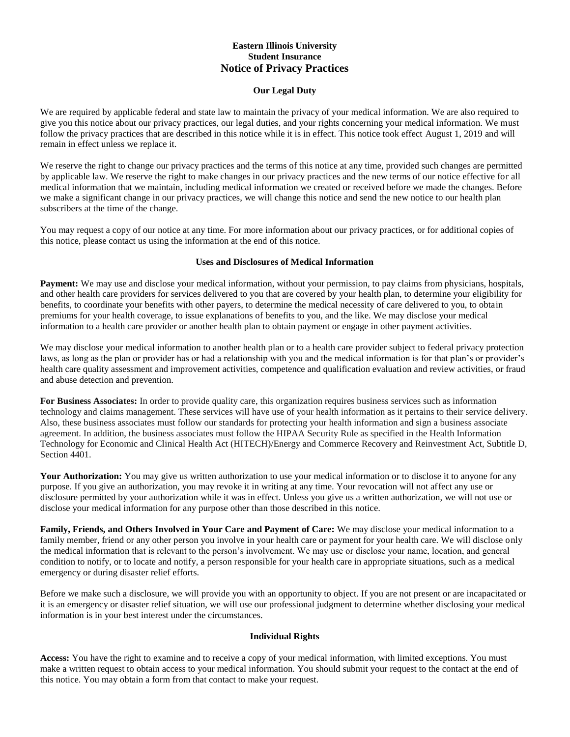# **Eastern Illinois University Student Insurance Notice of Privacy Practices**

#### **Our Legal Duty**

We are required by applicable federal and state law to maintain the privacy of your medical information. We are also required to give you this notice about our privacy practices, our legal duties, and your rights concerning your medical information. We must follow the privacy practices that are described in this notice while it is in effect. This notice took effect August 1, 2019 and will remain in effect unless we replace it.

We reserve the right to change our privacy practices and the terms of this notice at any time, provided such changes are permitted by applicable law. We reserve the right to make changes in our privacy practices and the new terms of our notice effective for all medical information that we maintain, including medical information we created or received before we made the changes. Before we make a significant change in our privacy practices, we will change this notice and send the new notice to our health plan subscribers at the time of the change.

You may request a copy of our notice at any time. For more information about our privacy practices, or for additional copies of this notice, please contact us using the information at the end of this notice.

### **Uses and Disclosures of Medical Information**

**Payment:** We may use and disclose your medical information, without your permission, to pay claims from physicians, hospitals, and other health care providers for services delivered to you that are covered by your health plan, to determine your eligibility for benefits, to coordinate your benefits with other payers, to determine the medical necessity of care delivered to you, to obtain premiums for your health coverage, to issue explanations of benefits to you, and the like. We may disclose your medical information to a health care provider or another health plan to obtain payment or engage in other payment activities.

We may disclose your medical information to another health plan or to a health care provider subject to federal privacy protection laws, as long as the plan or provider has or had a relationship with you and the medical information is for that plan's or provider's health care quality assessment and improvement activities, competence and qualification evaluation and review activities, or fraud and abuse detection and prevention.

**For Business Associates:** In order to provide quality care, this organization requires business services such as information technology and claims management. These services will have use of your health information as it pertains to their service delivery. Also, these business associates must follow our standards for protecting your health information and sign a business associate agreement. In addition, the business associates must follow the HIPAA Security Rule as specified in the Health Information Technology for Economic and Clinical Health Act (HITECH)/Energy and Commerce Recovery and Reinvestment Act, Subtitle D, Section 4401.

**Your Authorization:** You may give us written authorization to use your medical information or to disclose it to anyone for any purpose. If you give an authorization, you may revoke it in writing at any time. Your revocation will not affect any use or disclosure permitted by your authorization while it was in effect. Unless you give us a written authorization, we will not use or disclose your medical information for any purpose other than those described in this notice.

**Family, Friends, and Others Involved in Your Care and Payment of Care:** We may disclose your medical information to a family member, friend or any other person you involve in your health care or payment for your health care. We will disclose only the medical information that is relevant to the person's involvement. We may use or disclose your name, location, and general condition to notify, or to locate and notify, a person responsible for your health care in appropriate situations, such as a medical emergency or during disaster relief efforts.

Before we make such a disclosure, we will provide you with an opportunity to object. If you are not present or are incapacitated or it is an emergency or disaster relief situation, we will use our professional judgment to determine whether disclosing your medical information is in your best interest under the circumstances.

## **Individual Rights**

**Access:** You have the right to examine and to receive a copy of your medical information, with limited exceptions. You must make a written request to obtain access to your medical information. You should submit your request to the contact at the end of this notice. You may obtain a form from that contact to make your request.